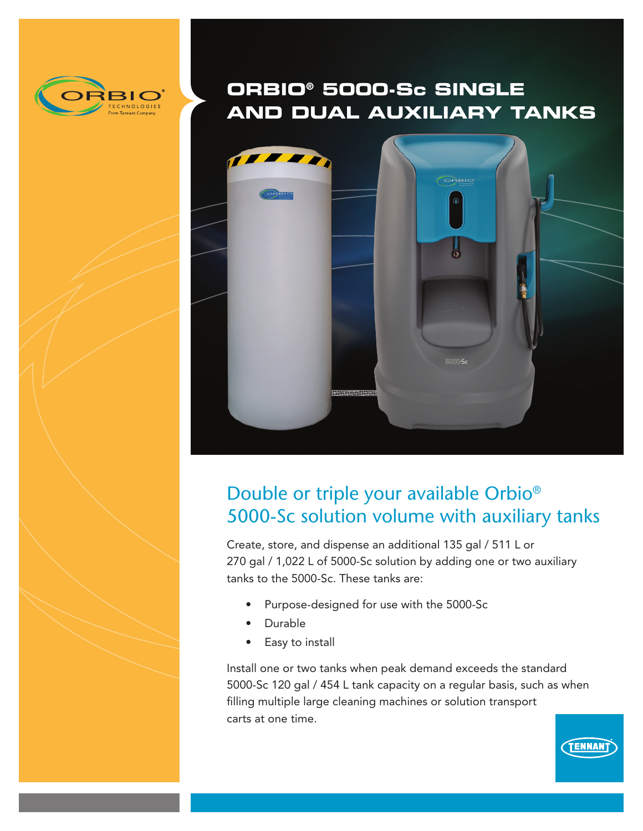

# **ORBIO® 5000-Sc SINGLE AND DUAL AUXILIARY TANKS**



## Double or triple your available Orbio® 5000-Sc solution volume with auxiliary tanks

Create, store, and dispense an additional 135 gal / 511 L or 270 gal / 1,022 L of 5000-Sc solution by adding one or two auxiliary tanks to the 5000-Sc. These tanks are:

- Purpose-designed for use with the 5000-Sc
- **Durable**
- Easy to install

Install one or two tanks when peak demand exceeds the standard 5000-Sc 120 gal / 454 L tank capacity on a regular basis, such as when filling multiple large cleaning machines or solution transport carts at one time.

**TENNANT**